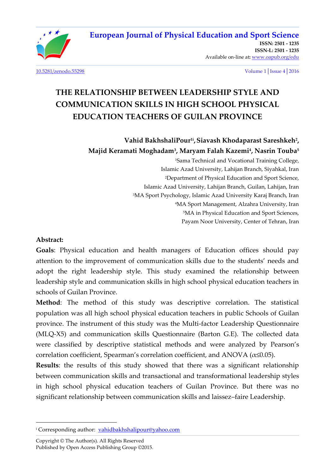

[10.5281/zenodo.55298](http://dx.doi.org/10.5281/zenodo.55298) Volume 1│Issue 4│2016

# **THE RELATIONSHIP BETWEEN LEADERSHIP STYLE AND COMMUNICATION SKILLS IN HIGH SCHOOL PHYSICAL EDUCATION TEACHERS OF GUILAN PROVINCE**

**Vahid BakhshaliPour1i ,Siavash Khodaparast Sareshkeh<sup>2</sup> , Majid Keramati Moghadam<sup>3</sup> , Maryam Falah Kazemi<sup>4</sup> , Nasrin Touba<sup>5</sup>**

> Sama Technical and Vocational Training College, Islamic Azad University, Lahijan Branch, Siyahkal, Iran Department of Physical Education and Sport Science, Islamic Azad University, Lahijan Branch, Guilan, Lahijan, Iran MA Sport Psychology, Islamic Azad University Karaj Branch, Iran MA Sport Management, Alzahra University, Iran MA in Physical Education and Sport Sciences, Payam Noor University, Center of Tehran, Iran

#### **Abstract:**

l

**Goals**: Physical education and health managers of Education offices should pay attention to the improvement of communication skills due to the students' needs and adopt the right leadership style. This study examined the relationship between leadership style and communication skills in high school physical education teachers in schools of Guilan Province.

**Method**: The method of this study was descriptive correlation. The statistical population was all high school physical education teachers in public Schools of Guilan province. The instrument of this study was the Multi-factor Leadership Questionnaire (MLQ-X5) and communication skills Questionnaire (Barton G.E). The collected data were classified by descriptive statistical methods and were analyzed by Pearson's correlation coefficient, Spearman's correlation coefficient, and ANOVA ( $\alpha \leq 0.05$ ).

**Results**: the results of this study showed that there was a significant relationship between communication skills and transactional and transformational leadership styles in high school physical education teachers of Guilan Province. But there was no significant relationship between communication skills and laissez–faire Leadership.

Copyright © The Author(s). All Rights Reserved Published by Open Access Publishing Group ©2015.

<sup>&</sup>lt;sup>i</sup> Corresponding author: <u>vahidbakhshalipour@yahoo.com</u>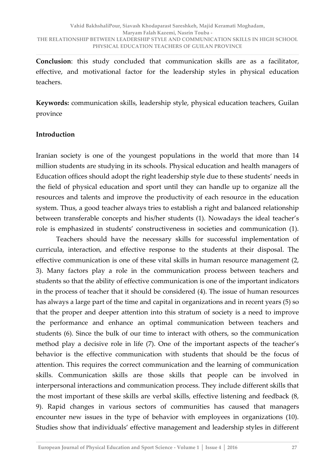**Conclusion**: this study concluded that communication skills are as a facilitator, effective, and motivational factor for the leadership styles in physical education teachers.

**Keywords:** communication skills, leadership style, physical education teachers, Guilan province

#### **Introduction**

Iranian society is one of the youngest populations in the world that more than 14 million students are studying in its schools. Physical education and health managers of Education offices should adopt the right leadership style due to these students' needs in the field of physical education and sport until they can handle up to organize all the resources and talents and improve the productivity of each resource in the education system. Thus, a good teacher always tries to establish a right and balanced relationship between transferable concepts and his/her students (1). Nowadays the ideal teacher's role is emphasized in students' constructiveness in societies and communication (1).

 Teachers should have the necessary skills for successful implementation of curricula, interaction, and effective response to the students at their disposal. The effective communication is one of these vital skills in human resource management (2, 3). Many factors play a role in the communication process between teachers and students so that the ability of effective communication is one of the important indicators in the process of teacher that it should be considered (4). The issue of human resources has always a large part of the time and capital in organizations and in recent years (5) so that the proper and deeper attention into this stratum of society is a need to improve the performance and enhance an optimal communication between teachers and students (6). Since the bulk of our time to interact with others, so the communication method play a decisive role in life (7). One of the important aspects of the teacher's behavior is the effective communication with students that should be the focus of attention. This requires the correct communication and the learning of communication skills. Communication skills are those skills that people can be involved in interpersonal interactions and communication process. They include different skills that the most important of these skills are verbal skills, effective listening and feedback (8, 9). Rapid changes in various sectors of communities has caused that managers encounter new issues in the type of behavior with employees in organizations (10). Studies show that individuals' effective management and leadership styles in different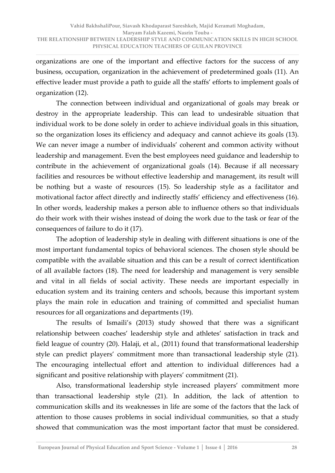organizations are one of the important and effective factors for the success of any business, occupation, organization in the achievement of predetermined goals (11). An effective leader must provide a path to guide all the staffs' efforts to implement goals of organization (12).

 The connection between individual and organizational of goals may break or destroy in the appropriate leadership. This can lead to undesirable situation that individual work to be done solely in order to achieve individual goals in this situation, so the organization loses its efficiency and adequacy and cannot achieve its goals (13). We can never image a number of individuals' coherent and common activity without leadership and management. Even the best employees need guidance and leadership to contribute in the achievement of organizational goals (14). Because if all necessary facilities and resources be without effective leadership and management, its result will be nothing but a waste of resources (15). So leadership style as a facilitator and motivational factor affect directly and indirectly staffs' efficiency and effectiveness (16). In other words, leadership makes a person able to influence others so that individuals do their work with their wishes instead of doing the work due to the task or fear of the consequences of failure to do it (17).

 The adoption of leadership style in dealing with different situations is one of the most important fundamental topics of behavioral sciences. The chosen style should be compatible with the available situation and this can be a result of correct identification of all available factors (18). The need for leadership and management is very sensible and vital in all fields of social activity. These needs are important especially in education system and its training centers and schools, because this important system plays the main role in education and training of committed and specialist human resources for all organizations and departments (19).

The results of Ismaili's (2013) study showed that there was a significant relationship between coaches' leadership style and athletes' satisfaction in track and field league of country (20). Halaji, et al., (2011) found that transformational leadership style can predict players' commitment more than transactional leadership style (21). The encouraging intellectual effort and attention to individual differences had a significant and positive relationship with players' commitment (21).

Also, transformational leadership style increased players' commitment more than transactional leadership style (21). In addition, the lack of attention to communication skills and its weaknesses in life are some of the factors that the lack of attention to those causes problems in social individual communities, so that a study showed that communication was the most important factor that must be considered.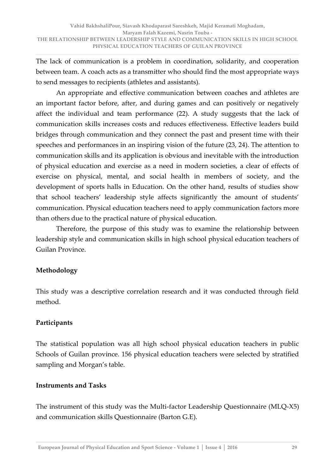The lack of communication is a problem in coordination, solidarity, and cooperation between team. A coach acts as a transmitter who should find the most appropriate ways to send messages to recipients (athletes and assistants).

 An appropriate and effective communication between coaches and athletes are an important factor before, after, and during games and can positively or negatively affect the individual and team performance (22). A study suggests that the lack of communication skills increases costs and reduces effectiveness. Effective leaders build bridges through communication and they connect the past and present time with their speeches and performances in an inspiring vision of the future (23, 24). The attention to communication skills and its application is obvious and inevitable with the introduction of physical education and exercise as a need in modern societies, a clear of effects of exercise on physical, mental, and social health in members of society, and the development of sports halls in Education. On the other hand, results of studies show that school teachers' leadership style affects significantly the amount of students' communication. Physical education teachers need to apply communication factors more than others due to the practical nature of physical education.

 Therefore, the purpose of this study was to examine the relationship between leadership style and communication skills in high school physical education teachers of Guilan Province.

# **Methodology**

This study was a descriptive correlation research and it was conducted through field method.

# **Participants**

The statistical population was all high school physical education teachers in public Schools of Guilan province. 156 physical education teachers were selected by stratified sampling and Morgan's table.

# **Instruments and Tasks**

The instrument of this study was the Multi-factor Leadership Questionnaire (MLQ-X5) and communication skills Questionnaire (Barton G.E).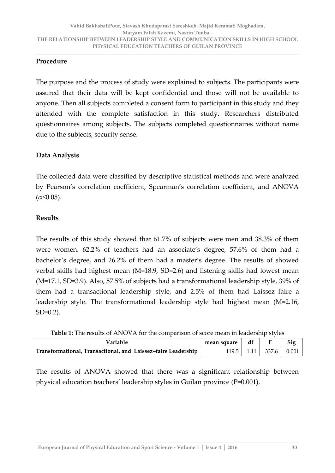### **Procedure**

The purpose and the process of study were explained to subjects. The participants were assured that their data will be kept confidential and those will not be available to anyone. Then all subjects completed a consent form to participant in this study and they attended with the complete satisfaction in this study. Researchers distributed questionnaires among subjects. The subjects completed questionnaires without name due to the subjects, security sense.

# **Data Analysis**

The collected data were classified by descriptive statistical methods and were analyzed by Pearson's correlation coefficient, Spearman's correlation coefficient, and ANOVA  $(\alpha \leq 0.05)$ .

### **Results**

The results of this study showed that 61.7% of subjects were men and 38.3% of them were women. 62.2% of teachers had an associate's degree, 57.6% of them had a bachelor's degree, and 26.2% of them had a master's degree. The results of showed verbal skills had highest mean (M=18.9, SD=2.6) and listening skills had lowest mean (M=17.1, SD=3.9). Also, 57.5% of subjects had a transformational leadership style, 39% of them had a transactional leadership style, and 2.5% of them had Laissez–faire a leadership style. The transformational leadership style had highest mean (M=2.16,  $SD=0.2$ ).

**Table 1:** The results of ANOVA for the comparison of score mean in leadership styles

| Variable                                                      | mean square | df |                        | Sig   |  |
|---------------------------------------------------------------|-------------|----|------------------------|-------|--|
| Transformational, Transactional, and Laissez-faire Leadership |             |    | $119.5$   1.11   337.6 | 0.001 |  |

The results of ANOVA showed that there was a significant relationship between physical education teachers' leadership styles in Guilan province (P=0.001).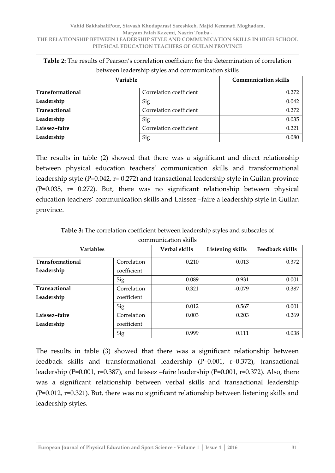| between readership styles and communication skins |                         |                             |  |  |  |  |
|---------------------------------------------------|-------------------------|-----------------------------|--|--|--|--|
| Variable                                          |                         | <b>Communication skills</b> |  |  |  |  |
| Transformational                                  | Correlation coefficient | 0.272                       |  |  |  |  |
| Leadership                                        | Sig                     | 0.042                       |  |  |  |  |
| Transactional                                     | Correlation coefficient | 0.272                       |  |  |  |  |
| Leadership                                        | Sig                     | 0.035                       |  |  |  |  |
| Laissez-faire                                     | Correlation coefficient | 0.221                       |  |  |  |  |
| Leadership                                        | Sig                     | 0.080                       |  |  |  |  |

| <b>Table 2:</b> The results of Pearson's correlation coefficient for the determination of correlation |
|-------------------------------------------------------------------------------------------------------|
| between leadership styles and communication skills                                                    |

The results in table (2) showed that there was a significant and direct relationship between physical education teachers' communication skills and transformational leadership style (P=0.042, r= 0.272) and transactional leadership style in Guilan province (P=0.035, r= 0.272). But, there was no significant relationship between physical education teachers' communication skills and Laissez –faire a leadership style in Guilan province.

| <b>Variables</b>        |             | Verbal skills | <b>Listening skills</b> | <b>Feedback skills</b> |
|-------------------------|-------------|---------------|-------------------------|------------------------|
| <b>Transformational</b> | Correlation | 0.210         | 0.013                   | 0.372                  |
| Leadership              | coefficient |               |                         |                        |
|                         | Sig         | 0.089         | 0.931                   | 0.001                  |
| <b>Transactional</b>    | Correlation | 0.321         | $-0.079$                | 0.387                  |
| Leadership              | coefficient |               |                         |                        |
|                         | Sig         | 0.012         | 0.567                   | 0.001                  |
| Laissez-faire           | Correlation | 0.003         | 0.203                   | 0.269                  |
| Leadership              | coefficient |               |                         |                        |
|                         | Sig         | 0.999         | 0.111                   | 0.038                  |

**Table 3:** The correlation coefficient between leadership styles and subscales of communication skills

The results in table (3) showed that there was a significant relationship between feedback skills and transformational leadership (P=0.001, r=0.372), transactional leadership (P=0.001, r=0.387), and laissez –faire leadership (P=0.001, r=0.372). Also, there was a significant relationship between verbal skills and transactional leadership (P=0.012, r=0.321). But, there was no significant relationship between listening skills and leadership styles.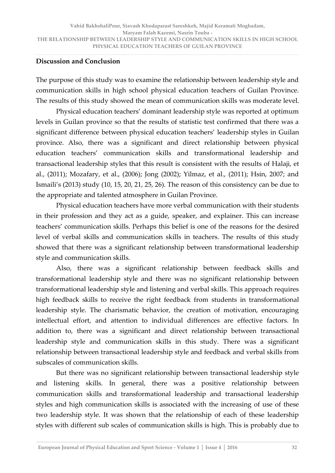#### **Discussion and Conclusion**

The purpose of this study was to examine the relationship between leadership style and communication skills in high school physical education teachers of Guilan Province. The results of this study showed the mean of communication skills was moderate level.

Physical education teachers' dominant leadership style was reported at optimum levels in Guilan province so that the results of statistic test confirmed that there was a significant difference between physical education teachers' leadership styles in Guilan province. Also, there was a significant and direct relationship between physical education teachers' communication skills and transformational leadership and transactional leadership styles that this result is consistent with the results of Halaji, et al., (2011); Mozafary, et al., (2006); Jong (2002); Yilmaz, et al., (2011); Hsin, 2007; and Ismaili's (2013) study (10, 15, 20, 21, 25, 26). The reason of this consistency can be due to the appropriate and talented atmosphere in Guilan Province.

 Physical education teachers have more verbal communication with their students in their profession and they act as a guide, speaker, and explainer. This can increase teachers' communication skills. Perhaps this belief is one of the reasons for the desired level of verbal skills and communication skills in teachers. The results of this study showed that there was a significant relationship between transformational leadership style and communication skills.

 Also, there was a significant relationship between feedback skills and transformational leadership style and there was no significant relationship between transformational leadership style and listening and verbal skills. This approach requires high feedback skills to receive the right feedback from students in transformational leadership style. The charismatic behavior, the creation of motivation, encouraging intellectual effort, and attention to individual differences are effective factors. In addition to, there was a significant and direct relationship between transactional leadership style and communication skills in this study. There was a significant relationship between transactional leadership style and feedback and verbal skills from subscales of communication skills.

 But there was no significant relationship between transactional leadership style and listening skills. In general, there was a positive relationship between communication skills and transformational leadership and transactional leadership styles and high communication skills is associated with the increasing of use of these two leadership style. It was shown that the relationship of each of these leadership styles with different sub scales of communication skills is high. This is probably due to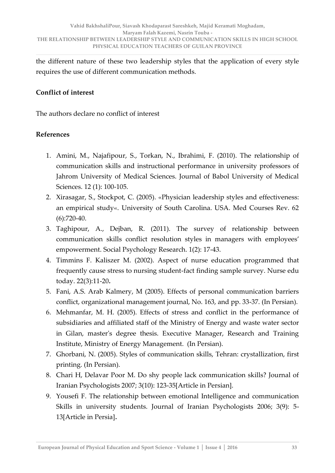the different nature of these two leadership styles that the application of every style requires the use of different communication methods.

### **Conflict of interest**

The authors declare no conflict of interest

#### **References**

- 1. Amini, M., Najafipour, S., Torkan, N., Ibrahimi, F. (2010). The relationship of communication skills and instructional performance in university professors of Jahrom University of Medical Sciences. Journal of Babol University of Medical Sciences. 12 (1): 100-105.
- 2. Xirasagar, S., Stockpot, C. (2005). «Physician leadership styles and effectiveness: an empirical study«. University of South Carolina. USA. Med Courses Rev. 62 (6):720-40.
- 3. Taghipour, A., Dejban, R. (2011). The survey of relationship between communication skills conflict resolution styles in managers with employees' empowerment. Social Psychology Research. 1(2): 17-43.
- 4. Timmins F. Kaliszer M. (2002). Aspect of nurse education programmed that frequently cause stress to nursing student-fact finding sample survey. Nurse edu today. 22(3):11-20**.**
- 5. Fani, A.S. Arab Kalmery, M (2005). Effects of personal communication barriers conflict, organizational management journal, No. 163, and pp. 33-37. (In Persian).
- 6. Mehmanfar, M. H. (2005). Effects of stress and conflict in the performance of subsidiaries and affiliated staff of the Ministry of Energy and waste water sector in Gilan, master's degree thesis. Executive Manager, Research and Training Institute, Ministry of Energy Management. (In Persian).
- 7. Ghorbani, N. (2005). Styles of communication skills, Tehran: crystallization, first printing. (In Persian).
- 8. Chari H, Delavar Poor M. Do shy people lack communication skills? Journal of Iranian Psychologists 2007; 3(10): 123-35[Article in Persian].
- 9. Yousefi F. The relationship between emotional Intelligence and communication Skills in university students. Journal of Iranian Psychologists 2006; 3(9): 5- 13[Article in Persia]**.**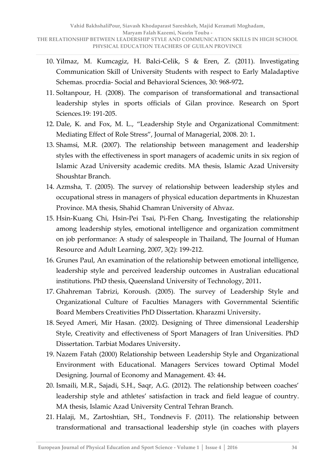- 10. Yilmaz, M. Kumcagiz, H. Balci-Celik, S & Eren, Z. (2011). Investigating Communication Skill of University Students with respect to Early Maladaptive Schemas. procrdia- Social and Behavioral Sciences, 30: 968-972**.**
- 11. Soltanpour, H. (2008). The comparison of transformational and transactional leadership styles in sports officials of Gilan province. Research on Sport Sciences.19: 191-205.
- 12. Dale, K. and Fox, M. L., "Leadership Style and Organizational Commitment: Mediating Effect of Role Stress", Journal of Managerial, 2008. 20: 1.
- 13. Shamsi, M.R. (2007). The relationship between management and leadership styles with the effectiveness in sport managers of academic units in six region of Islamic Azad University academic credits. MA thesis, Islamic Azad University Shoushtar Branch.
- 14. Azmsha, T. (2005). The survey of relationship between leadership styles and occupational stress in managers of physical education departments in Khuzestan Province. MA thesis, Shahid Chamran University of Ahvaz.
- 15. Hsin-Kuang Chi, Hsin-Pei Tsai, Pi-Fen Chang, Investigating the relationship among leadership styles, emotional intelligence and organization commitment on job performance: A study of salespeople in Thailand, The Journal of Human Resource and Adult Learning, 2007, 3(2): 199-212.
- 16. Grunes Paul, An examination of the relationship between emotional intelligence, leadership style and perceived leadership outcomes in Australian educational institutions. PhD thesis, Queensland University of Technology, 2011**.**
- 17. Ghahreman Tabrizi, Koroush. (2005). The survey of Leadership Style and Organizational Culture of Faculties Managers with Governmental Scientific Board Members Creativities PhD Dissertation. Kharazmi University**.**
- 18. Seyed Ameri, Mir Hasan. (2002). Designing of Three dimensional Leadership Style, Creativity and effectiveness of Sport Managers of Iran Universities. PhD Dissertation. Tarbiat Modares University**.**
- 19. Nazem Fatah (2000) Relationship between Leadership Style and Organizational Environment with Educational. Managers Services toward Optimal Model Designing. Journal of Economy and Management. 43: 44**.**
- 20. Ismaili, M.R., Sajadi, S.H., Saqr, A.G. (2012). The relationship between coaches' leadership style and athletes' satisfaction in track and field league of country. MA thesis, Islamic Azad University Central Tehran Branch.
- 21. Halaji, M., Zartoshtian, SH., Tondnevis F. (2011). The relationship between transformational and transactional leadership style (in coaches with players